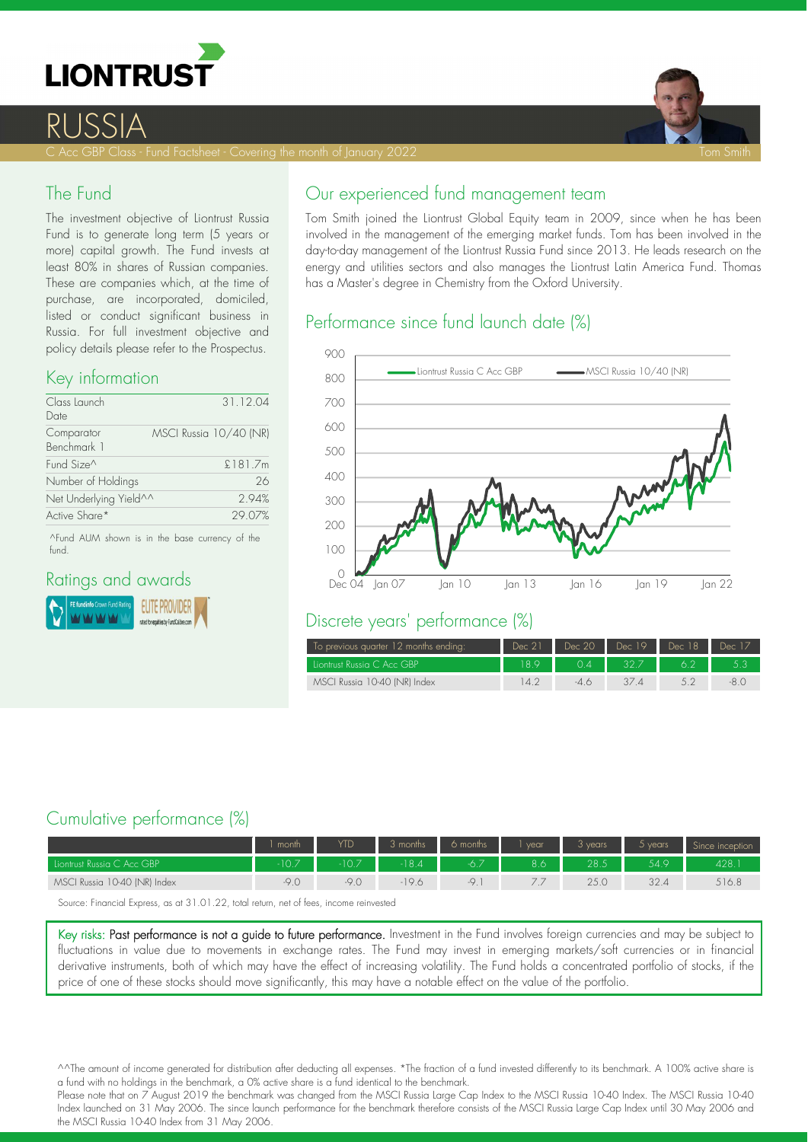



## RUSSI

C Acc GBP Class - Fund Factsheet - Covering the month of January 2022 Tom Smith Smith Smith Smith Smith Smith

### The Fund

The investment objective of Liontrust Russia Fund is to generate long term (5 years or more) capital growth. The Fund invests at least 80% in shares of Russian companies. These are companies which, at the time of purchase, are incorporated, domiciled, listed or conduct significant business in Russia. For full investment objective and policy details please refer to the Prospectus.

#### Key information

| Class Launch<br>Date      |                        | 31.12.04 |
|---------------------------|------------------------|----------|
| Comparator<br>Benchmark 1 | MSCI Russia 10/40 (NR) |          |
| Fund Size^                |                        | £181.7m  |
| Number of Holdings        |                        | 26       |
| Net Underlying Yield^^    |                        | 294%     |
| Active Share*             |                        | 29.07%   |

^Fund AUM shown is in the base currency of the fund.

#### Ratings and awards



## Our experienced fund management team

Tom Smith joined the Liontrust Global Equity team in 2009, since when he has been involved in the management of the emerging market funds. Tom has been involved in the day-to-day management of the Liontrust Russia Fund since 2013. He leads research on the energy and utilities sectors and also manages the Liontrust Latin America Fund. Thomas has a Master's degree in Chemistry from the Oxford University.

## Performance since fund launch date (%)



#### Discrete years' performance (%)

| To previous quarter 12 months ending: | Dec 21 | Dec 20 | Dec 19 | Dec 18 | Dec 17 |
|---------------------------------------|--------|--------|--------|--------|--------|
| Liontrust Russia C Acc GBP            | 18.9   | 04     | 32.7   |        |        |
| MSCI Russia 10-40 (NR) Index          | 14.2   | -46    |        |        |        |

## Cumulative performance (%)

|                              | month | <b>YTD</b> | 3 months | 6 months | vear. | 3 years. | 5 years | Since inception |
|------------------------------|-------|------------|----------|----------|-------|----------|---------|-----------------|
| Liontrust Russia C Acc GBP   | 10.7  | 107        | 184      | $-6.7$   | 8.6   | 28.5     | 54.9    | 428.            |
| MSCI Russia 10-40 (NR) Index | -9.C  | -9.C       | -19.6    | $ \circ$ |       |          | 32.4    | 516.8           |
|                              |       |            |          |          |       |          |         |                 |

Source: Financial Express, as at 31.01.22, total return, net of fees, income reinvested

Key risks: Past performance is not a guide to future performance. Investment in the Fund involves foreign currencies and may be subject to fluctuations in value due to movements in exchange rates. The Fund may invest in emerging markets/soft currencies or in financial derivative instruments, both of which may have the effect of increasing volatility. The Fund holds a concentrated portfolio of stocks, if the price of one of these stocks should move significantly, this may have a notable effect on the value of the portfolio.

^^The amount of income generated for distribution after deducting all expenses. \*The fraction of a fund invested differently to its benchmark. A 100% active share is a fund with no holdings in the benchmark, a 0% active share is a fund identical to the benchmark.

Please note that on 7 August 2019 the benchmark was changed from the MSCI Russia Large Cap Index to the MSCI Russia 10,40 Index. The MSCI Russia 10,40 Index launched on 31 May 2006. The since launch performance for the benchmark therefore consists of the MSCI Russia Large Cap Index until 30 May 2006 and the MSCI Russia 10-40 Index from 31 May 2006